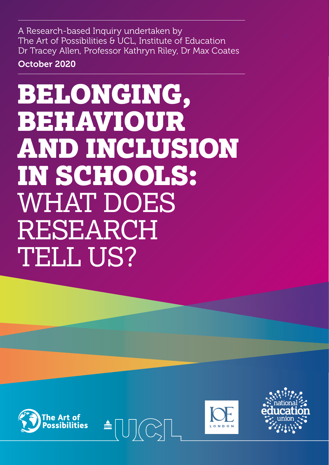A Research-based Inquiry undertaken by The Art of Possibilities & UCL, Institute of Education Dr Tracey Allen, Professor Kathryn Riley, Dr Max Coates

October 2020

# BELONGING, BEHAVIOUR AND INCLUSION IN SCHOOLS: WHAT DOES RESEARCH TELL US?







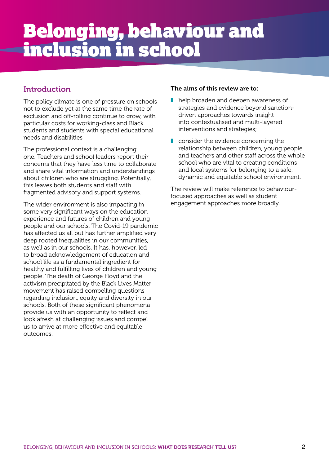# Belonging, behaviour and inclusion in school

#### **Introduction**

The policy climate is one of pressure on schools not to exclude yet at the same time the rate of exclusion and off-rolling continue to grow, with particular costs for working-class and Black students and students with special educational needs and disabilities

The professional context is a challenging one. Teachers and school leaders report their concerns that they have less time to collaborate and share vital information and understandings about children who are struggling. Potentially, this leaves both students and staff with fragmented advisory and support systems.

The wider environment is also impacting in some very significant ways on the education experience and futures of children and young people and our schools. The Covid-19 pandemic has affected us all but has further amplified very deep rooted inequalities in our communities, as well as in our schools. It has, however, led to broad acknowledgement of education and school life as a fundamental ingredient for healthy and fulfilling lives of children and young people. The death of George Floyd and the activism precipitated by the Black Lives Matter movement has raised compelling questions regarding inclusion, equity and diversity in our schools. Both of these significant phenomena provide us with an opportunity to reflect and look afresh at challenging issues and compel us to arrive at more effective and equitable outcomes.

#### The aims of this review are to:

- help broaden and deepen awareness of strategies and evidence beyond sanctiondriven approaches towards insight into contextualised and multi-layered interventions and strategies;
- consider the evidence concerning the relationship between children, young people and teachers and other staff across the whole school who are vital to creating conditions and local systems for belonging to a safe, dynamic and equitable school environment.

The review will make reference to behaviourfocused approaches as well as student engagement approaches more broadly.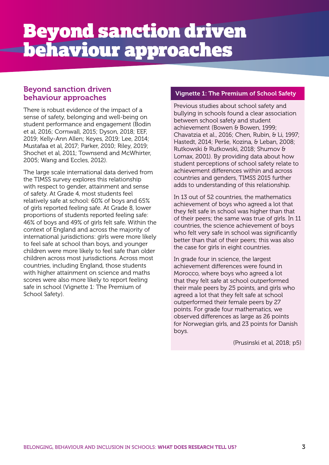#### Beyond sanction driven behaviour approaches

There is robust evidence of the impact of a sense of safety, belonging and well-being on student performance and engagement (Bodin et al, 2016; Cornwall, 2015; Dyson, 2018; EEF, 2019; Kelly-Ann Allen; Keyes, 2019; Lee, 2014; Mustafaa et al, 2017; Parker, 2010; Riley, 2019; Shochet et al, 2011; Townsend and McWhirter, 2005; Wang and Eccles, 2012).

The large scale international data derived from the TIMSS survey explores this relationship with respect to gender, attainment and sense of safety. At Grade 4, most students feel relatively safe at school: 60% of boys and 65% of girls reported feeling safe. At Grade 8, lower proportions of students reported feeling safe: 46% of boys and 49% of girls felt safe. Within the context of England and across the majority of international jurisdictions: girls were more likely to feel safe at school than boys, and younger children were more likely to feel safe than older children across most jurisdictions. Across most countries, including England, those students with higher attainment on science and maths scores were also more likely to report feeling safe in school (Vignette 1: The Premium of School Safety).

#### Vignette 1: The Premium of School Safety

Previous studies about school safety and bullying in schools found a clear association between school safety and student achievement (Bowen & Bowen, 1999; Chavatzia et al., 2016; Chen, Rubin, & Li, 1997; Hastedt, 2014; Perše, Kozina, & Leban, 2008; Rutkowski & Rutkowski, 2018; Shumov & Lomax, 2001). By providing data about how student perceptions of school safety relate to achievement differences within and across countries and genders, TIMSS 2015 further adds to understanding of this relationship.

In 13 out of 52 countries, the mathematics achievement of boys who agreed a lot that they felt safe in school was higher than that of their peers; the same was true of girls. In 11 countries, the science achievement of boys who felt very safe in school was significantly better than that of their peers; this was also the case for girls in eight countries.

In grade four in science, the largest achievement differences were found in Morocco, where boys who agreed a lot that they felt safe at school outperformed their male peers by 25 points, and girls who agreed a lot that they felt safe at school outperformed their female peers by 27 points. For grade four mathematics, we observed differences as large as 26 points for Norwegian girls, and 23 points for Danish boys.

(Prusinski et al, 2018; p5)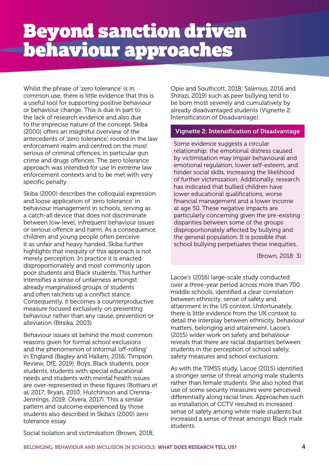Whilst the phrase of 'zero tolerance' is in common use, there is little evidence that this is a useful tool for supporting positive behaviour or behaviour change. This is due in part to the lack of research evidence and also due to the imprecise nature of the concept. Skiba (2000) offers an insightful overview of the antecedents of 'zero tolerance', rooted in the law enforcement realm and centred on the most serious of criminal offences, in particular gun crime and drugs offences. The zero tolerance approach was intended for use in extreme law enforcement contexts and to be met with very specific penalty.

Skiba (2000) describes the colloquial expression and loose application of 'zero tolerance' in behaviour management in schools, serving as a catch-all device that does not discriminate between low-level, infrequent behaviour issues or serious offence and harm. As a consequence, children and young people often perceive it as unfair and heavy handed. Skiba further highlights that inequity of this approach is not merely perception. In practice it is enacted disproportionately and most commonly upon poor students and Black students. This further intensifies a sense of unfairness amongst already marginalised groups of students and often ratchets up a conflict stance. Consequently, it becomes a counterproductive measure focused exclusively on presenting behaviour rather than any cause, prevention or alleviation (Bitsika, 2003).

Behaviour issues sit behind the most common reasons given for formal school exclusions and the phenomenon of informal 'off-rolling' in England (Bagley and Hallam, 2016; Timpson Review, DfE, 2019). Boys, Black students, poor students, students with special educational needs and students with mental health issues are over-represented in these figures (Bottiani et al, 2017; Bryan, 2010; Hutchinson and Crenna-Jennings, 2019; Olvera, 2017). This a similar pattern and outcome experienced by those students also described in Skiba's (2000) zero tolerance essay.

Opie and Southcott, 2018; Salenius, 2016 and Shirazi, 2019) such as peer bullying tend to be born most severely and cumulatively by already disadvantaged students (Vignette 2: Intensification of Disadvantage).

#### Vignette 2: Intensification of Disadvantage

Some evidence suggests a circular relationship: the emotional distress caused by victimisation may impair behavioural and emotional regulation, lower self-esteem, and hinder social skills, increasing the likelihood of further victimization. Additionally, research has indicated that bullied children have lower educational qualifications, worse financial management and a lower income at age 50. These negative impacts are particularly concerning given the pre-existing disparities between some of the groups disproportionately affected by bullying and the general population. It is possible that school bullying perpetuates these inequities.

(Brown, 2018: 3)

Lacoe's (2016) large-scale study conducted over a three-year period across more than 700 middle schools, identified a clear correlation between ethnicity, sense of safety and attainment in the US context. Unfortunately, there is little evidence from the UK context to detail the interplay between ethnicity, behaviour matters, belonging and attainment. Lacoe's (2015) wider work on safety and behaviour reveals that there are racial disparities between students in the perception of school safety, safety measures and school exclusions.

As with the TIMSS study, Lacoe (2015) identified a stronger sense of threat among male students rather than female students. She also noted that use of some security measures were perceived differentially along racial lines. Approaches such as installation of CCTV resulted in increased sense of safety among white male students but increased a sense of threat amongst Black male students.

Social isolation and victimisation (Brown, 2018;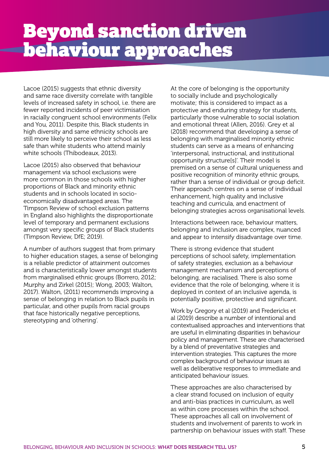Lacoe (2015) suggests that ethnic diversity and same race diversity correlate with tangible levels of increased safety in school, i.e. there are fewer reported incidents of peer victimisation in racially congruent school environments (Felix and You, 2011). Despite this, Black students in high diversity and same ethnicity schools are still more likely to perceive their school as less safe than white students who attend mainly white schools (Thibodeaux, 2013).

Lacoe (2015) also observed that behaviour management via school exclusions were more common in those schools with higher proportions of Black and minority ethnic students and in schools located in socioeconomically disadvantaged areas. The Timpson Review of school exclusion patterns in England also highlights the disproportionate level of temporary and permanent exclusions amongst very specific groups of Black students (Timpson Review, DfE; 2019).

A number of authors suggest that from primary to higher education stages, a sense of belonging is a reliable predictor of attainment outcomes and is characteristically lower amongst students from marginalised ethnic groups (Borrero, 2012; Murphy and Zirkel (2015); Wong, 2003; Walton, 2017). Walton, (2011) recommends improving a sense of belonging in relation to Black pupils in particular, and other pupils from racial groups that face historically negative perceptions, stereotyping and 'othering'.

At the core of belonging is the opportunity to socially include and psychologically motivate; this is considered to impact as a protective and enduring strategy for students, particularly those vulnerable to social isolation and emotional threat (Allen, 2016). Grey et al (2018) recommend that developing a sense of belonging with marginalised minority ethnic students can serve as a means of enhancing 'interpersonal, instructional, and institutional opportunity structure[s]'. Their model is premised on a sense of cultural uniqueness and positive recognition of minority ethnic groups, rather than a sense of individual or group deficit. Their approach centres on a sense of individual enhancement, high quality and inclusive teaching and curricula, and enactment of belonging strategies across organisational levels.

Interactions between race, behaviour matters, belonging and inclusion are complex, nuanced and appear to intensify disadvantage over time.

There is strong evidence that student perceptions of school safety, implementation of safety strategies, exclusion as a behaviour management mechanism and perceptions of belonging, are racialised. There is also some evidence that the role of belonging, where it is deployed in context of an inclusive agenda, is potentially positive, protective and significant.

Work by Gregory et al (2019) and Fredericks et al (2019) describe a number of intentional and contextualised approaches and interventions that are useful in eliminating disparities in behaviour policy and management. These are characterised by a blend of preventative strategies and intervention strategies. This captures the more complex background of behaviour issues as well as deliberative responses to immediate and anticipated behaviour issues.

These approaches are also characterised by a clear strand focused on inclusion of equity and anti-bias practices in curriculum, as well as within core processes within the school. These approaches all call on involvement of students and involvement of parents to work in partnership on behaviour issues with staff. These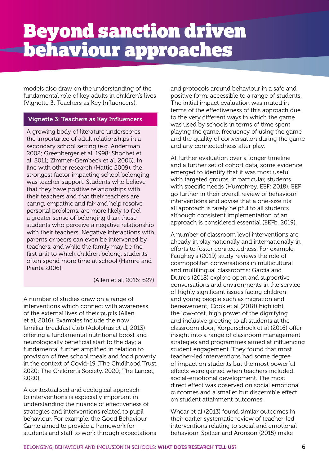models also draw on the understanding of the fundamental role of key adults in children's lives (Vignette 3: Teachers as Key Influencers).

#### Vignette 3: Teachers as Key Influencers

A growing body of literature underscores the importance of adult relationships in a secondary school setting (e.g. Anderman 2002; Greenberger et al. 1998; Shochet et al. 2011; Zimmer-Gembeck et al. 2006). In line with other research (Hattie 2009), the strongest factor impacting school belonging was teacher support. Students who believe that they have positive relationships with their teachers and that their teachers are caring, empathic and fair and help resolve personal problems, are more likely to feel a greater sense of belonging than those students who perceive a negative relationship with their teachers. Negative interactions with parents or peers can even be intervened by teachers, and while the family may be the first unit to which children belong, students often spend more time at school (Hamre and Pianta 2006).

(Allen et al, 2016: p27)

A number of studies draw on a range of interventions which connect with awareness of the external lives of their pupils (Allen et al, 2016). Examples include the now familiar breakfast club (Adolphus et al, 2013) offering a fundamental nutritional boost and neurologically beneficial start to the day; a fundamental further amplified in relation to provision of free school meals and food poverty in the context of Covid-19 (The Chidlhood Trust, 2020; The Children's Society, 2020; The Lancet, 2020).

A contextualised and ecological approach to interventions is especially important in understanding the nuance of effectiveness of strategies and interventions related to pupil behaviour. For example, the Good Behaviour Game aimed to provide a framework for students and staff to work through expectations

and protocols around behaviour in a safe and positive form, accessible to a range of students. The initial impact evaluation was muted in terms of the effectiveness of this approach due to the very different ways in which the game was used by schools in terms of time spent playing the game, frequency of using the game and the quality of conversation during the game and any connectedness after play.

At further evaluation over a longer timeline and a further set of cohort data, some evidence emerged to identify that it was most useful with targeted groups, in particular, students with specific needs (Humphrey, EEF; 2018). EEF go further in their overall review of behaviour interventions and advise that a one-size fits all approach is rarely helpful to all students although consistent implementation of an approach is considered essential (EEFb, 2019).

A number of classroom level interventions are already in play nationally and internationally in efforts to foster connectedness. For example, Faughey's (2019) study reviews the role of cosmopolitan conversations in multicultural and multilingual classrooms; Garcia and Dutro's (2018) explore open and supportive conversations and environments in the service of highly significant issues facing children and young people such as migration and bereavement; Cook et al (2018) highlight the low-cost, high power of the dignifying and inclusive greeting to all students at the classroom door; Korperschoek et al (2016) offer insight into a range of classroom management strategies and programmes aimed at influencing student engagement. They found that most teacher-led interventions had some degree of impact on students but the most powerful effects were gained when teachers included social-emotional development. The most direct effect was observed on social emotional outcomes and a smaller but discernible effect on student attainment outcomes.

Whear et al (2013) found similar outcomes in their earlier systematic review of teacher-led interventions relating to social and emotional behaviour. Spitzer and Aronson (2015) make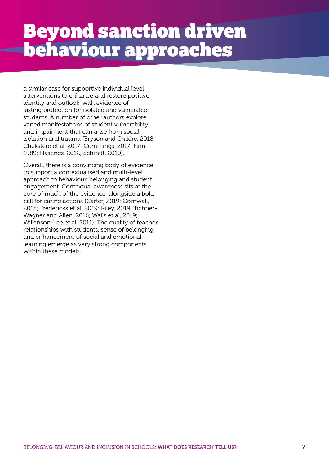a similar case for supportive individual level interventions to enhance and restore positive identity and outlook, with evidence of lasting protection for isolated and vulnerable students. A number of other authors explore varied manifestations of student vulnerability and impairment that can arise from social isolation and trauma (Bryson and Childre, 2018; Chekstere et al, 2017; Cummings, 2017; Finn, 1989; Hastings, 2012; Schmitt, 2010).

Overall, there is a convincing body of evidence to support a contextualised and multi-level approach to behaviour, belonging and student engagement. Contextual awareness sits at the core of much of the evidence, alongside a bold call for caring actions (Carter, 2019; Cornwall, 2015; Fredericks et al, 2019; Riley, 2019; Tichner-Wagner and Allen, 2016; Walls et al, 2019; Wilkinson-Lee et al, 2011). The quality of teacher relationships with students, sense of belonging and enhancement of social and emotional learning emerge as very strong components within these models.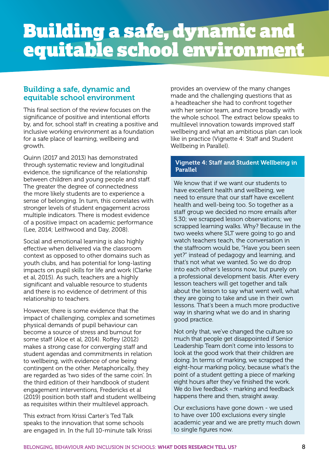# Building a safe, dynamic and equitable school environment

#### Building a safe, dynamic and equitable school environment

This final section of the review focuses on the significance of positive and intentional efforts by, and for, school staff in creating a positive and inclusive working environment as a foundation for a safe place of learning, wellbeing and growth.

Quinn (2017 and 2013) has demonstrated through systematic review and longitudinal evidence, the significance of the relationship between children and young people and staff. The greater the degree of connectedness the more likely students are to experience a sense of belonging. In turn, this correlates with stronger levels of student engagement across multiple indicators. There is modest evidence of a positive impact on academic performance (Lee, 2014; Leithwood and Day, 2008).

Social and emotional learning is also highly effective when delivered via the classroom context as opposed to other domains such as youth clubs, and has potential for long-lasting impacts on pupil skills for life and work (Clarke et al, 2015). As such, teachers are a highly significant and valuable resource to students and there is no evidence of detriment of this relationship to teachers.

However, there is some evidence that the impact of challenging, complex and sometimes physical demands of pupil behaviour can become a source of stress and burnout for some staff (Aloe et al, 2014). Roffey (2012) makes a strong case for converging staff and student agendas and commitments in relation to wellbeing, with evidence of one being contingent on the other. Metaphorically, they are regarded as 'two sides of the same coin'. In the third edition of their handbook of student engagement interventions, Fredericks et al (2019) position both staff and student wellbeing as requisites within their multilevel approach.

This extract from Krissi Carter's Ted Talk speaks to the innovation that some schools are engaged in. In the full 10-minute talk Krissi

provides an overview of the many changes made and the challenging questions that as a headteacher she had to confront together with her senior team, and more broadly with the whole school. The extract below speaks to multilevel innovation towards improved staff wellbeing and what an ambitious plan can look like in practice (Vignette 4: Staff and Student Wellbeing in Parallel).

#### Vignette 4: Staff and Student Wellbeing in Parallel

We know that if we want our students to have excellent health and wellbeing, we need to ensure that our staff have excellent health and well-being too. So together as a staff group we decided no more emails after 5.30; we scrapped lesson observations; we scrapped learning walks. Why? Because in the two weeks where SLT were going to go and watch teachers teach, the conversation in the staffroom would be, "Have you been seen yet?" instead of pedagogy and learning, and that's not what we wanted. So we do drop into each other's lessons now, but purely on a professional development basis. After every lesson teachers will get together and talk about the lesson to say what went well, what they are going to take and use in their own lessons. That's been a much more productive way in sharing what we do and in sharing good practice.

Not only that, we've changed the culture so much that people get disappointed if Senior Leadership Team don't come into lessons to look at the good work that their children are doing. In terms of marking, we scrapped the eight-hour marking policy, because what's the point of a student getting a piece of marking eight hours after they've finished the work. We do live feedback - marking and feedback happens there and then, straight away.

Our exclusions have gone down - we used to have over 100 exclusions every single academic year and we are pretty much down to single figures now.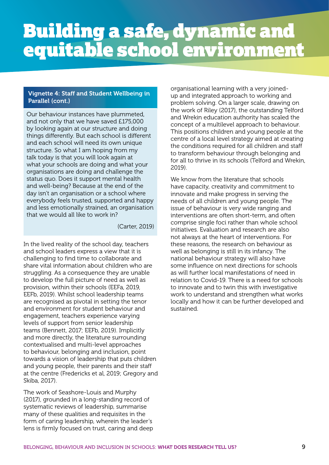# Building a safe, dynamic and equitable school environment

#### Vignette 4: Staff and Student Wellbeing in Parallel (cont.)

Our behaviour instances have plummeted, and not only that we have saved £175,000 by looking again at our structure and doing things differently. But each school is different and each school will need its own unique structure. So what I am hoping from my talk today is that you will look again at what your schools are doing and what your organisations are doing and challenge the status quo. Does it support mental health and well-being? Because at the end of the day isn't an organisation or a school where everybody feels trusted, supported and happy and less emotionally strained, an organisation that we would all like to work in?

(Carter, 2019)

In the lived reality of the school day, teachers and school leaders express a view that it is challenging to find time to collaborate and share vital information about children who are struggling. As a consequence they are unable to develop the full picture of need as well as provision, within their schools (EEFa, 2019, EEFb, 2019). Whilst school leadership teams are recognised as pivotal in setting the tenor and environment for student behaviour and engagement, teachers experience varying levels of support from senior leadership teams (Bennett, 2017; EEFb, 2019). Implicitly and more directly, the literature surrounding contextualised and multi-level approaches to behaviour, belonging and inclusion, point towards a vision of leadership that puts children and young people, their parents and their staff at the centre (Fredericks et al, 2019; Gregory and Skiba, 2017).

The work of Seashore-Louis and Murphy (2017), grounded in a long-standing record of systematic reviews of leadership, summarise many of these qualities and requisites in the form of caring leadership, wherein the leader's lens is firmly focused on trust, caring and deep organisational learning with a very joinedup and integrated approach to working and problem solving. On a larger scale, drawing on the work of Riley (2017), the outstanding Telford and Wrekin education authority has scaled the concept of a multilevel approach to behaviour. This positions children and young people at the centre of a local level strategy aimed at creating the conditions required for all children and staff to transform behaviour through belonging and for all to thrive in its schools (Telford and Wrekin, 2019).

We know from the literature that schools have capacity, creativity and commitment to innovate and make progress in serving the needs of all children and young people. The issue of behaviour is very wide ranging and interventions are often short-term, and often comprise single foci rather than whole school initiatives. Evaluation and research are also not always at the heart of interventions. For these reasons, the research on behaviour as well as belonging is still in its infancy. The national behaviour strategy will also have some influence on next directions for schools as will further local manifestations of need in relation to Covid-19. There is a need for schools to innovate and to twin this with investigative work to understand and strengthen what works locally and how it can be further developed and sustained.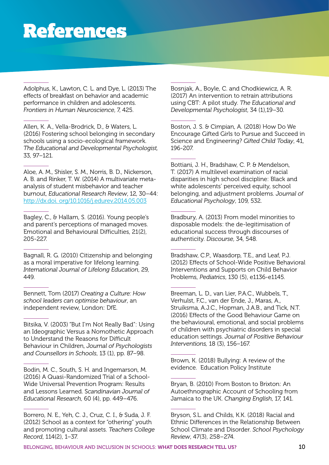Adolphus, K., Lawton, C. L. and Dye, L. (2013) The effects of breakfast on behavior and academic performance in children and adolescents. *Frontiers in Human Neuroscience*, 7, 425.

Allen, K. A., Vella-Brodrick, D., & Waters, L. (2016) Fostering school belonging in secondary schools using a socio-ecological framework. *The Educational and Developmental Psychologist,* 33, 97–121.

Aloe, A. M., Shisler, S. M., Norris, B. D., Nickerson, A. B. and Rinker, T. W. (2014) A multivariate metaanalysis of student misbehavior and teacher burnout, *Educational Research Review*, 12, 30–44: <http://dx.doi. org/10.1016/j.edurev.2014.05.003>

Bagley, C., & Hallam, S. (2016). Young people's and parent's perceptions of managed moves. Emotional and Behavioural Difficulties, 21(2), 205-227.

Bagnall, R. G. (2010) Citizenship and belonging as a moral imperative for lifelong learning. *International Journal of Lifelong Education*, 29, 449.

Bennett, Tom (2017) *Creating a Culture: How school leaders can optimise behaviour*, an independent review, London: DfE.

Bitsika, V. (2003) "But I'm Not Really Bad": Using an Ideographic Versus a Nomothetic Approach to Understand the Reasons for Difficult Behaviour in Children, *Journal of Psychologists and Counsellors in Schools*, 13 (1), pp. 87–98.

Bodin, M. C., South, S. H. and Ingemarson, M. (2016) A Quasi-Randomized Trial of a School-Wide Universal Prevention Program: Results and Lessons Learned. S*candinavian Journal of Educational Research*, 60 (4), pp. 449–476.

Borrero, N. E., Yeh, C. J., Cruz, C. I., & Suda, J. F. (2012) School as a context for "othering" youth and promoting cultural assets. *Teachers College Record*, 114(2), 1–37.

Bosnjak, A., Boyle, C. and Chodkiewicz, A. R. (2017) An intervention to retrain attributions using CBT: A pilot study. *The Educational and Developmental Psychologist*, 34 (1),19–30.

Boston, J. S. & Cimpian, A. (2018) How Do We Encourage Gifted Girls to Pursue and Succeed in Science and Engineering? *Gifted Child Today*, 41, 196-207.

Bottiani, J. H., Bradshaw, C. P. & Mendelson, T. (2017) A multilevel examination of racial disparities in high school discipline: Black and white adolescents' perceived equity, school belonging, and adjustment problems. *Journal of Educational Psychology*, 109, 532.

Bradbury, A. (2013) From model minorities to disposable models: the de-legitimisation of educational success through discourses of authenticity. *Discourse*, 34, 548.

Bradshaw, C.P., Waasdorp, T.E., and Leaf, P.J. (2012) Effects of School-Wide Positive Behavioral Interventions and Supports on Child Behavior Problems, *Pediatrics*, 130 (5), e1136-e1145.

Breeman, L. D., van Lier, P.A.C., Wubbels, T., Verhulst, F.C., van der Ende, J., Maras, A., Struiksma, A.J.C., Hopman, J.A.B., and Tick, N.T. (2016) Effects of the Good Behaviour Game on the behavioural, emotional, and social problems of children with psychiatric disorders in special education settings. *Journal of Positive Behaviour Interventions,* 18 (3), 156–167.

Brown, K. (2018) Bullying: A review of the evidence. Education Policy Institute

Bryan, B. (2010) From Boston to Brixton: An Autoethnographic Account of Schooling from Jamaica to the UK. *Changing English*, 17, 141.

Bryson, S.L. and Childs, K.K. (2018) Racial and Ethnic Differences in the Relationship Between School Climate and Disorder. *School Psychology Review*, 47(3), 258–274.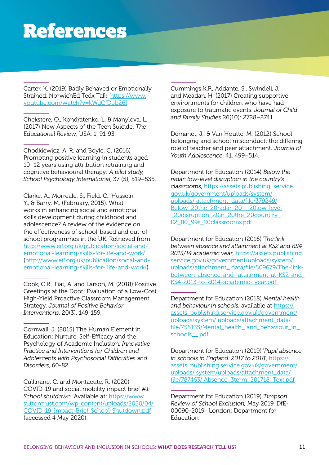Carter, K. (2019) Badly Behaved or Emotionally Strained, NorwichEd Tedx Talk, [https://www.](https://www.youtube.com/watch?v=kWdCfDgb26I) [youtube.com/watch?v=kWdCfDgb26I](https://www.youtube.com/watch?v=kWdCfDgb26I)

Chekstere, O., Kondratenko, L. & Manylova, L. (2017) New Aspects of the Teen Suicide. *The Educational Review*, USA, 1, 91-93.

Chodkiewicz, A. R. and Boyle, C. (2016) Promoting positive learning in students aged 10–12 years using attribution retraining and cognitive behavioural therapy: *A pilot study, School Psychology International*, 37 (5), 519–535.

Clarke, A., Morreale, S., Field, C., Hussein, Y., & Barry, M. (February, 2015). What works in enhancing social and emotional skills development during childhood and adolescence? A review of the evidence on the effectiveness of school-based and out-ofschool programmes in the UK. Retrieved from: [http://www.eif.org.uk/publication/social-and](http://www.eif.org.uk/publication/social-and- emotional-learning-skills-for-life-and-work/)[emotional-learning-skills-for-life-and-work/](http://www.eif.org.uk/publication/social-and- emotional-learning-skills-for-life-and-work/) ([http://www.eif.org.uk/publication/social-and](http://www.eif.org.uk/publication/social-and-emotional-learning-skills-for- life-and-work/))[emotional-learning-skills-for- life-and-work/](http://www.eif.org.uk/publication/social-and-emotional-learning-skills-for- life-and-work/)))

Cook, C.R., Fiat, A. and Larson, M. (2018) Positive Greetings at the Door: Evaluation of a Low-Cost, High-Yield Proactive Classroom Management Strategy. *Journal of Positive Behavior Interventions*, 20(3), 149-159.

Cornwall, J. (2015) The Human Element in Education: Nurture, Self-Efficacy and the Psychology of Academic Inclusion. *Innovative Practice and Interventions for Children and Adolescents with Psychosocial Difficulties and Disorders*, 60-82

Cullinane, C. and Montacute, R. (2020) COVID-19 and social mobility impact brief *#1: School shutdown*. Available at: [https://www.](https://www.suttontrust.com/wp-content/uploads/2020/04/) [suttontrust.com/wp-content/uploads/2020/04/](https://www.suttontrust.com/wp-content/uploads/2020/04/)  [COVID-19-Impact-Brief-School-Shutdown.pdf](https://www.suttontrust.com/wp-content/uploads/2020/04/) (accessed 4 May 2020).

Cummings K.P., Addante, S., Swindell, J. and Meadan, H. (2017) Creating supportive environments for children who have had exposure to traumatic events. *Journal of Child and Family Studies* 26(10): 2728–2741.

Demanet, J., & Van Houtte, M. (2012) School belonging and school misconduct: the differing role of teacher and peer attachment. *Journal of Youth Adolescence*, 41, 499–514.

Department for Education (2014) *Below the radar: low-level disruption in the country's classrooms*, https://assets.publishing. [service.](http://service.gov.uk/government/uploads/system/uploads/ attachment_data/file/379249/Below_20the_20radar_20- _20low-level_20disruption_20in_20the_20count ry_E2_80_99s_20classrooms.pdf ) [gov.uk/government/uploads/system/](http://service.gov.uk/government/uploads/system/uploads/ attachment_data/file/379249/Below_20the_20radar_20- _20low-level_20disruption_20in_20the_20count ry_E2_80_99s_20classrooms.pdf ) [uploads/ attachment\\_data/file/379249/](http://service.gov.uk/government/uploads/system/uploads/ attachment_data/file/379249/Below_20the_20radar_20- _20low-level_20disruption_20in_20the_20count ry_E2_80_99s_20classrooms.pdf ) [Below\\_20the\\_20radar\\_20- \\_20low-level](http://service.gov.uk/government/uploads/system/uploads/ attachment_data/file/379249/Below_20the_20radar_20- _20low-level_20disruption_20in_20the_20count ry_E2_80_99s_20classrooms.pdf ) [\\_20disruption\\_20in\\_20the\\_20count ry\\_](http://service.gov.uk/government/uploads/system/uploads/ attachment_data/file/379249/Below_20the_20radar_20- _20low-level_20disruption_20in_20the_20count ry_E2_80_99s_20classrooms.pdf ) [E2\\_80\\_99s\\_20classrooms.pdf](http://service.gov.uk/government/uploads/system/uploads/ attachment_data/file/379249/Below_20the_20radar_20- _20low-level_20disruption_20in_20the_20count ry_E2_80_99s_20classrooms.pdf ) 

Department for Education (2016) T*he link between absence and attainment at KS2 and KS4 2013/14 academic year*, [https://assets.publishing.](https://assets.publishing.service.gov.uk/government/uploads/system/uploads/attachment_data/file/509679/The-link-between-absence-and-attainment-at-KS2-and-KS4-2013-to-2014-academic-year.pdf) [service.gov.uk/government/uploads/system/](https://assets.publishing.service.gov.uk/government/uploads/system/uploads/attachment_data/file/509679/The-link-between-absence-and-attainment-at-KS2-and-KS4-2013-to-2014-academic-year.pdf) [uploads/attachment\\_ data/file/509679/T](https://assets.publishing.service.gov.uk/government/uploads/system/uploads/attachment_data/file/509679/The-link-between-absence-and-attainment-at-KS2-and-KS4-2013-to-2014-academic-year.pdf)he-linkbetween-absence-and- attainment-at-KS2-and-KS4-2013-to-2014-academic- year.pdf

Department for Education (2018) *Mental health and behaviour in schools*, available at https:// assets. publishing.service.gov.uk/government/ uploads/system/ uploads/attachment\_data/ file/755135/Mental\_health\_ and\_behaviour\_in schools\_\_.pdf

Department for Education (2019) '*Pupil absence in schools in England: 2017 to 2018*', [https://](https://assets. publishing.service.gov.uk/government/uploads/ system/uploads/attachment_data/file/787463/ Absence_3term_201718_Text.pdf) [assets. publishing.service.gov.uk/government/](https://assets. publishing.service.gov.uk/government/uploads/ system/uploads/attachment_data/file/787463/ Absence_3term_201718_Text.pdf) [uploads/ system/uploads/attachment\\_data/](https://assets. publishing.service.gov.uk/government/uploads/ system/uploads/attachment_data/file/787463/ Absence_3term_201718_Text.pdf) [file/787463/ Absence\\_3term\\_201718\\_Text.pdf](https://assets. publishing.service.gov.uk/government/uploads/ system/uploads/attachment_data/file/787463/ Absence_3term_201718_Text.pdf)

Department for Education (2019) *Timpson Review of School Exclusion,* May 2019, DfE-00090-2019. London: Department for Education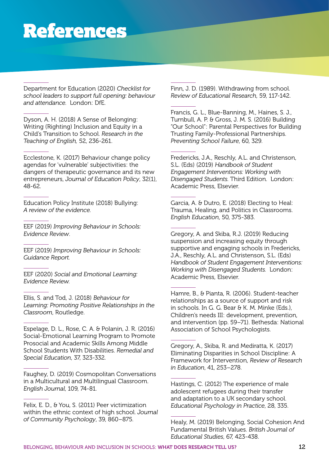Department for Education (2020) *Checklist for school leaders to support full opening: behaviour and attendance.* London: DfE.

Dyson, A. H. (2018) A Sense of Belonging: Writing (Righting) Inclusion and Equity in a Child's Transition to School. *Research in the Teaching of English,* 52, 236-261.

Ecclestone, K. (2017) Behaviour change policy agendas for 'vulnerable' subjectivities: the dangers of therapeutic governance and its new entrepreneurs, *Journal of Education Policy*, 32(1), 48-62.

Education Policy Institute (2018) Bullying: *A review of the evidence.*

EEF (2019) *Improving Behaviour in Schools: Evidence Review*.

EEF (2019) *Improving Behaviour in Schools: Guidance Report.*

EEF (2020) *Social and Emotional Learning: Evidence Review.*

Ellis, S. and Tod, J. (2018) *Behaviour for Learning: Promoting Positive Relationships in the Classroom*, Routledge.

Espelage, D. L., Rose, C. A. & Polanin, J. R. (2016) Social-Emotional Learning Program to Promote Prosocial and Academic Skills Among Middle School Students With Disabilities. *Remedial and Special Education*, 37, 323-332.

Faughey, D. (2019) Cosmopolitan Conversations in a Multicultural and Multilingual Classroom. *English Journal*, 109, 74-81.

Felix, E. D., & You, S. (2011) Peer victimization within the ethnic context of high school. *Journal of Community Psychology*, 39, 860–875.

Finn, J. D. (1989). Withdrawing from school. *Review of Educational Research*, 59, 117-142.

Francis, G. L., Blue-Banning, M., Haines, S. J., Turnbull, A. P. & Gross, J. M. S. (2016) Building "Our School": Parental Perspectives for Building Trusting Family-Professional Partnerships. *Preventing School Failure*, 60, 329.

Fredericks, J.A., Reschly, A.L. and Christenson, S.L. (Eds) (2019) *Handbook of Student Engagement Interventions: Working with Disengaged Students.* Third Edition. London: Academic Press, Elsevier.

Garcia, A. & Dutro, E. (2018) Electing to Heal: Trauma, Healing, and Politics in Classrooms. *English Education*, 50, 375-383.

Gregory, A. and Skiba, R.J. (2019) Reducing suspension and increasing equity through supportive and engaging schools in Fredericks, J.A., Reschly, A.L. and Christenson, S.L. (Eds) *Handbook of Student Engagement Interventions: Working with Disengaged Students.* London: Academic Press, Elsevier.

Hamre, B., & Pianta, R. (2006). Student-teacher relationships as a source of support and risk in schools. In G. G. Bear & K. M. Minke (Eds.), Children's needs III: development, prevention, and intervention (pp. 59–71). Bethesda: National Association of School Psychologists.

Gregory, A., Skiba, R. and Mediratta, K. (2017) Eliminating Disparities in School Discipline: A Framework for Intervention, *Review of Research in Education*, 41, 253–278.

Hastings, C. (2012) The experience of male adolescent refugees during their transfer and adaptation to a UK secondary school. *Educational Psychology in Practice*, 28, 335.

Healy, M. (2019) Belonging, Social Cohesion And Fundamental British Values. *British Journal of Educational Studies*, 67, 423-438.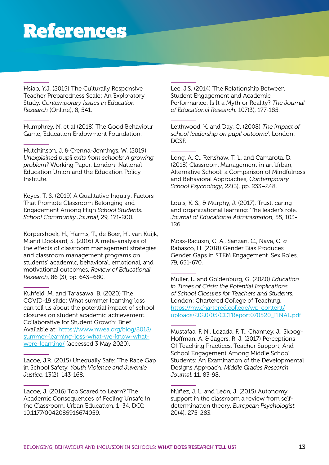Hsiao, Y.J. (2015) The Culturally Responsive Teacher Preparedness Scale: An Exploratory Study. *Contemporary Issues in Education Research* (Online), 8, 541.

Humphrey, N. et al (2018) The Good Behaviour Game, Education Endowment Foundation.

Hutchinson, J. & Crenna-Jennings, W. (2019). *Unexplained pupil exits from schools: A growing problem?* Working Paper. London: National Education Union and the Education Policy Institute.

Keyes, T. S. (2019) A Qualitative Inquiry: Factors That Promote Classroom Belonging and Engagement Among High *School Students. School Community Journal*, 29, 171-200.

Korpershoek, H., Harms, T., de Boer, H., van Kuijk, M.and Doolaard, S. (2016) A meta-analysis of the effects of classroom management strategies and classroom management programs on students' academic, behavioral, emotional, and motivational outcomes, *Review of Educational Research*, 86 (3), pp. 643–680.

Kuhfeld, M. and Tarasawa, B. (2020) The COVID-19 slide: What summer learning loss can tell us about the potential impact of school closures on student academic achievement. Collaborative for Student Growth: Brief. Available at: [https://www.nwea.org/blog/2018/](https://www.nwea.org/blog/2018/summer-learning-loss-what-we-know-what-were-learning/)  [summer-learning-loss-what-we-know-what](https://www.nwea.org/blog/2018/summer-learning-loss-what-we-know-what-were-learning/)[were-learning/](https://www.nwea.org/blog/2018/summer-learning-loss-what-we-know-what-were-learning/) (accessed 3 May 2020).

Lacoe, J.R. (2015) Unequally Safe: The Race Gap in School Safety. *Youth Violence and Juvenile Justice*, 13(2), 143-168.

Lacoe, J. (2016) Too Scared to Learn? The Academic Consequences of Feeling Unsafe in the Classroom. Urban Education, 1–34, DOI: 10.1177/0042085916674059.

Lee, J.S. (2014) The Relationship Between Student Engagement and Academic Performance: Is It a Myth or Reality? *The Journal of Educational Research,* 107(3), 177-185.

Leithwood, K. and Day, C. (2008) *The impact of school leadership on pupil outcome'*, London: DCSF.

Long, A. C., Renshaw, T. L. and Camarota, D. (2018) Classroom Management in an Urban, Alternative School: a Comparison of Mindfulness and Behavioral Approaches, *Contemporary School Psychology*, 22(3), pp. 233–248.

Louis, K. S., & Murphy, J. (2017). Trust, caring and organizational learning: The leader's role. *Journal of Educational Administration*, 55, 103- 126.

Moss-Racusin, C. A., Sanzari, C., Nava, C. & Rabasco, H. (2018) Gender Bias Produces Gender Gaps in STEM Engagement. Sex Roles, 79, 651-670.

Müller, L. and Goldenburg, G. (2020) *Education in Times of Crisis: the Potential Implications of School Closures for Teachers and Students.* London: Chartered College of Teaching. [https://my.chartered.college/wp-content/](https://my.chartered.college/wp-content/uploads/2020/05/CCTReport070520_FINAL.pdf) [uploads/2020/05/CCTReport070520\\_FINAL.pdf](https://my.chartered.college/wp-content/uploads/2020/05/CCTReport070520_FINAL.pdf)

Mustafaa, F. N., Lozada, F. T., Channey, J., Skoog-Hoffman, A. & Jagers, R. J. (2017) Perceptions Of Teaching Practices, Teacher Support, And School Engagement Among Middle School Students: An Examination of the Developmental Designs Approach. *Middle Grades Research Journal*, 11, 83-98.

Núñez, J. L. and León, J. (2015) Autonomy support in the classroom a review from selfdetermination theory. *European Psychologist*, 20(4), 275-283.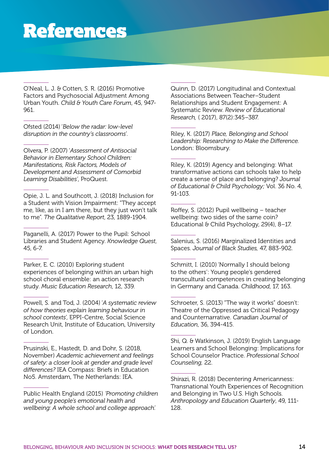O'Neal, L. J. & Cotten, S. R. (2016) Promotive Factors and Psychosocial Adjustment Among Urban Youth. *Child & Youth Care Forum*, 45, 947- 961.

Ofsted (2014) '*Below the radar: low-level disruption in the country's classrooms*'.

Olvera, P. (2007) '*Assessment of Antisocial Behavior in Elementary School Children: Manifestations, Risk Factors, Models of Development and Assessment of Comorbid Learning Disabilities'*, ProQuest.

Opie, J. L. and Southcott, J. (2018) Inclusion for a Student with Vision Impairment: "They accept me, like, as in I am there, but they just won't talk to me". *The Qualitative Report*, 23, 1889-1904.

Paganelli, A. (2017) Power to the Pupil: School Libraries and Student Agency. *Knowledge Quest*, 45, 6-7.

Parker, E. C. (2010) Exploring student experiences of belonging within an urban high school choral ensemble: an action research study. *Music Education Research*, 12, 339.

Powell, S. and Tod, J. (2004) '*A systematic review of how theories explain learning behaviour in school contexts*', EPPI-Centre, Social Science Research Unit, Institute of Education, University of London.

Prusinski, E., Hastedt, D. and Dohr, S. (2018, November) *Academic achievement and feelings of safety: a closer look at gender and grade level differences?* IEA Compass: Briefs in Education No5. Amsterdam, The Netherlands: IEA.

Public Health England (2015) *'Promoting children and young people's emotional health and wellbeing: A whole school and college approach'.*

Quinn, D. (2017) Longitudinal and Contextual Associations Between Teacher–Student Relationships and Student Engagement: A Systematic Review. *Review of Educational Research,* ( 2017), 87(2):345–387.

Riley, K. (2017) *Place, Belonging and School Leadership: Researching to Make the Difference.*  London: Bloomsbury.

Riley, K. (2019) Agency and belonging: What transformative actions can schools take to help create a sense of place and belonging? *Journal of Educational & Child Psychology;* Vol. 36 No. 4, 91-103.

Roffey, S. (2012) Pupil wellbeing – teacher wellbeing: two sides of the same coin? Educational & Child Psychology, 29(4), 8-17.

Salenius, S. (2016) Marginalized Identities and Spaces. *Journal of Black Studies,* 47, 883-902.

Schmitt, I. (2010) 'Normally I should belong to the others': Young people's gendered transcultural competences in creating belonging in Germany and Canada. *Childhood*, 17, 163.

Schroeter, S. (2013) "The way it works" doesn't: Theatre of the Oppressed as Critical Pedagogy and Counternarrative. *Canadian Journal of Education*, 36, 394-415.

Shi, Q. & Watkinson, J. (2019) English Language Learners and School Belonging: Implications for School Counselor Practice. *Professional School Counseling,* 22.

Shirazi, R. (2018) Decentering Americanness: Transnational Youth Experiences of Recognition and Belonging in Two U.S. High Schools. *Anthropology and Education Quarterly*, 49, 111- 128.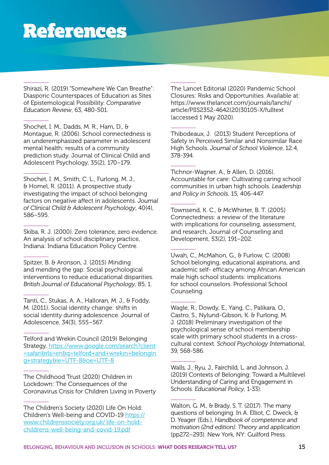Shirazi, R. (2019) "Somewhere We Can Breathe": Diasporic Counterspaces of Education as Sites of Epistemological Possibility. *Comparative Education Review*, 63, 480-501.

Shochet, I. M., Dadds, M. R., Ham, D., & Montague, R. (2006). School connectedness is an underemphasized parameter in adolescent mental health: results of a community prediction study. Journal of Clinical Child and Adolescent Psychology, 35(2), 170–179.

Shochet, I. M., Smith, C. L., Furlong, M. J., & Homel, R. (2011). A prospective study investigating the impact of school belonging factors on negative affect in adolescents. *Journal of Clinical Child & Adolescent Psychology*, 40(4), 586–595.

Skiba, R. J. (2000). Zero tolerance, zero evidence. An analysis of school disciplinary practice, Indiana: Indiana Education Policy Centre.

Spitzer, B. & Aronson, J. (2015) Minding and mending the gap: Social psychological interventions to reduce educational disparities. *British Journal of Educational Psychology*, 85, 1.

Tanti, C., Stukas, A. A., Halloran, M. J., & Foddy, M. (2011). Social identity change: shifts in social identity during adolescence. Journal of Adolescence, 34(3), 555–567.

Telford and Wrekin Council (2019) Belonging Strategy, [https://www.google.com/search?client](https://www.google.com/search?client=safari&rls=en&q=telford+and+wrekin+belonging+strategy&ie=UTF-8&) [=safari&rls=en&q=telford+and+wrekin+belongin](https://www.google.com/search?client=safari&rls=en&q=telford+and+wrekin+belonging+strategy&ie=UTF-8&) [g+strategy&ie=UTF-8&oe=UTF-8](https://www.google.com/search?client=safari&rls=en&q=telford+and+wrekin+belonging+strategy&ie=UTF-8&)

The Childhood Trust (2020) Children in Lockdown: The Consequences of the Coronavirus Crisis for Children Living in Poverty

The Children's Society (2020) Life On Hold: Children's Well-being and COVID-19 [https://](https://www.childrenssociety.org.uk/life-on-hold-childrens-well-being-and-covid-19.pdf) [www.childrenssociety.org.uk/ life-on-hold](https://www.childrenssociety.org.uk/life-on-hold-childrens-well-being-and-covid-19.pdf)[childrens-well-being-and-covid-19.pdf](https://www.childrenssociety.org.uk/life-on-hold-childrens-well-being-and-covid-19.pdf)

The Lancet Editorial (2020) Pandemic School Closures: Risks and Opportunities. Available at: [https://www.thelancet.com/journals/lanchi/](https://www.thelancet.com/journals/lanchi/article/PIIS2352-4642(20)30105-X/fulltext) [article/PIIS2352-4642\(20\)30105-X/fulltext](https://www.thelancet.com/journals/lanchi/article/PIIS2352-4642(20)30105-X/fulltext)  (accessed 1 May 2020).

Thibodeaux, J. (2013) Student Perceptions of Safety in Perceived Similar and Nonsimilar Race High Schools. *Journal of School Violence*, 12:4, 378-394.

Tichnor-Wagner, A., & Allen, D. (2016). Accountable for care: Cultivating caring school communities in urban high schools. *Leadership and Policy in Schools*, 15, 406-447.

Townsend, K. C., & McWhirter, B. T. (2005) Connectedness: a review of the literature with implications for counseling, assessment, and research. Journal of Counseling and Development, 53(2), 191–202.

Uwah, C., McMahon, G., & Furlow, C. (2008) School belonging, educational aspirations, and academic self- efficacy among African American male high school students: implications for school counselors. Professional School Counseling.

Wagle, R., Dowdy, E., Yang, C., Palikara, O., Castro, S., Nylund-Gibson, K. & Furlong, M. J. (2018) Preliminary investigation of the psychological sense of school membership scale with primary school students in a crosscultural context. *School Psychology International*, 39, 568-586.

Walls, J., Ryu, J., Fairchild, L. and Johnson, J. (2019) Contexts of Belonging: Toward a Multilevel Understanding of Caring and Engagement in Schools. *Educational Policy*, 1-33).

Walton, G. M., & Brady, S. T. (2017). The many questions of belonging. In A. Elliot, C. Dweck, & D. Yeager (Eds.), *Handbook of competence and motivation (2nd edition): Theory and application* (pp272–293). New York, NY: Guilford Press.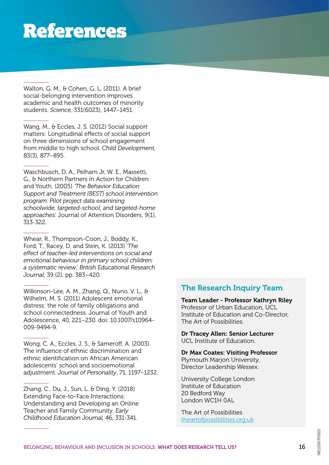Walton, G. M., & Cohen, G. L. (2011). A brief social-belonging intervention improves academic and health outcomes of minority students. *Science,* 331(6023), 1447–1451.

Wang, M., & Eccles, J. S. (2012) Social support matters: Longitudinal effects of social support on three dimensions of school engagement from middle to high school. *Child Development,*  83(3), 877–895.

Waschbusch, D. A., Pelham Jr, W. E., Massetti, G., & Northern Partners in Action for Children and Youth. (2005) *'The Behavior Education Support and Treatment (BEST) school intervention program: Pilot project data examining schoolwide, targeted-school, and targeted-home approaches'.* Journal of Attention Disorders, 9(1), 313-322.

Whear, R., Thompson-Coon, J., Boddy, K., Ford, T., Racey, D. and Stein, K. (2013) '*The effect of teacher-led interventions on social and emotional behaviour in primary school children: a systematic review', British Educational Research Journal*, 39 (2), pp. 383–420.

Wilkinson-Lee, A. M., Zhang, Q., Nuno, V. L., & Wilhelm, M. S. (2011) Adolescent emotional distress: the role of family obligations and school connectedness. Journal of Youth and Adolescence, 40, 221–230. doi: 10.1007/s10964- 009-9494-9.

Wong, C. A., Eccles, J. S., & Sameroff, A. (2003). The influence of ethnic discrimination and ethnic identification on African American adolescents' school and socioemotional adjustment. *Journal of Personality*, 71, 1197–1232.

Zhang, C., Du, J., Sun, L. & Ding, Y. (2018) Extending Face-to-Face Interactions: Understanding and Developing an Online Teacher and Family Community. *Early Childhood Education Journal,* 46, 331-341.

#### The Research Inquiry Team

Team Leader - Professor Kathryn Riley Professor of Urban Education, UCL Institute of Education and Co-Director, The Art of Possibilities.

Dr Tracey Allen: Senior Lecturer UCL Institute of Education.

Dr Max Coates: Visiting Professor Plymouth Marjon University, Director Leadership Wessex.

University College London Institute of Education 20 Bedford Way London WC1H 0AL

The Art of Possibilities [theartofpossibilities.org.uk](http://theartofpossibilities.org.uk)